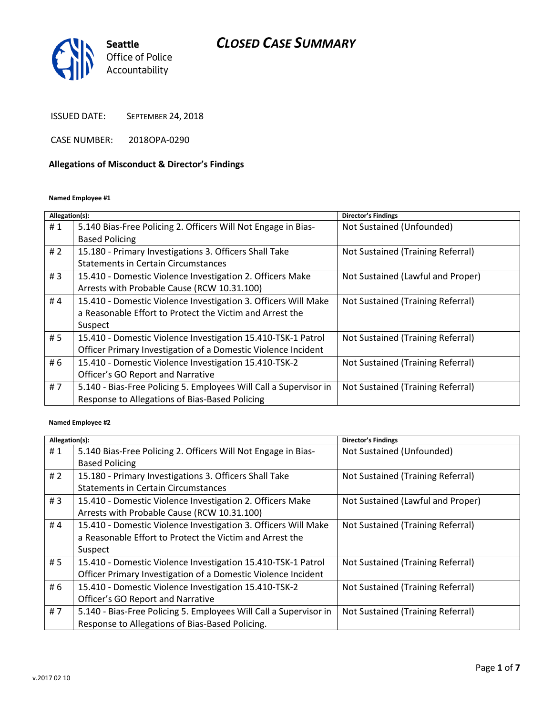# *CLOSED CASE SUMMARY*



ISSUED DATE: SEPTEMBER 24, 2018

CASE NUMBER: 2018OPA-0290

# **Allegations of Misconduct & Director's Findings**

#### **Named Employee #1**

| Allegation(s): |                                                                   | Director's Findings               |
|----------------|-------------------------------------------------------------------|-----------------------------------|
| #1             | 5.140 Bias-Free Policing 2. Officers Will Not Engage in Bias-     | Not Sustained (Unfounded)         |
|                | <b>Based Policing</b>                                             |                                   |
| #2             | 15.180 - Primary Investigations 3. Officers Shall Take            | Not Sustained (Training Referral) |
|                | <b>Statements in Certain Circumstances</b>                        |                                   |
| #3             | 15.410 - Domestic Violence Investigation 2. Officers Make         | Not Sustained (Lawful and Proper) |
|                | Arrests with Probable Cause (RCW 10.31.100)                       |                                   |
| #4             | 15.410 - Domestic Violence Investigation 3. Officers Will Make    | Not Sustained (Training Referral) |
|                | a Reasonable Effort to Protect the Victim and Arrest the          |                                   |
|                | Suspect                                                           |                                   |
| #5             | 15.410 - Domestic Violence Investigation 15.410-TSK-1 Patrol      | Not Sustained (Training Referral) |
|                | Officer Primary Investigation of a Domestic Violence Incident     |                                   |
| # 6            | 15.410 - Domestic Violence Investigation 15.410-TSK-2             | Not Sustained (Training Referral) |
|                | Officer's GO Report and Narrative                                 |                                   |
| #7             | 5.140 - Bias-Free Policing 5. Employees Will Call a Supervisor in | Not Sustained (Training Referral) |
|                | Response to Allegations of Bias-Based Policing                    |                                   |

#### **Named Employee #2**

| Allegation(s): |                                                                   | <b>Director's Findings</b>        |
|----------------|-------------------------------------------------------------------|-----------------------------------|
| #1             | 5.140 Bias-Free Policing 2. Officers Will Not Engage in Bias-     | Not Sustained (Unfounded)         |
|                | <b>Based Policing</b>                                             |                                   |
| # $2$          | 15.180 - Primary Investigations 3. Officers Shall Take            | Not Sustained (Training Referral) |
|                | <b>Statements in Certain Circumstances</b>                        |                                   |
| #3             | 15.410 - Domestic Violence Investigation 2. Officers Make         | Not Sustained (Lawful and Proper) |
|                | Arrests with Probable Cause (RCW 10.31.100)                       |                                   |
| #4             | 15.410 - Domestic Violence Investigation 3. Officers Will Make    | Not Sustained (Training Referral) |
|                | a Reasonable Effort to Protect the Victim and Arrest the          |                                   |
|                | Suspect                                                           |                                   |
| # 5            | 15.410 - Domestic Violence Investigation 15.410-TSK-1 Patrol      | Not Sustained (Training Referral) |
|                | Officer Primary Investigation of a Domestic Violence Incident     |                                   |
| # 6            | 15.410 - Domestic Violence Investigation 15.410-TSK-2             | Not Sustained (Training Referral) |
|                | Officer's GO Report and Narrative                                 |                                   |
| # $7$          | 5.140 - Bias-Free Policing 5. Employees Will Call a Supervisor in | Not Sustained (Training Referral) |
|                | Response to Allegations of Bias-Based Policing.                   |                                   |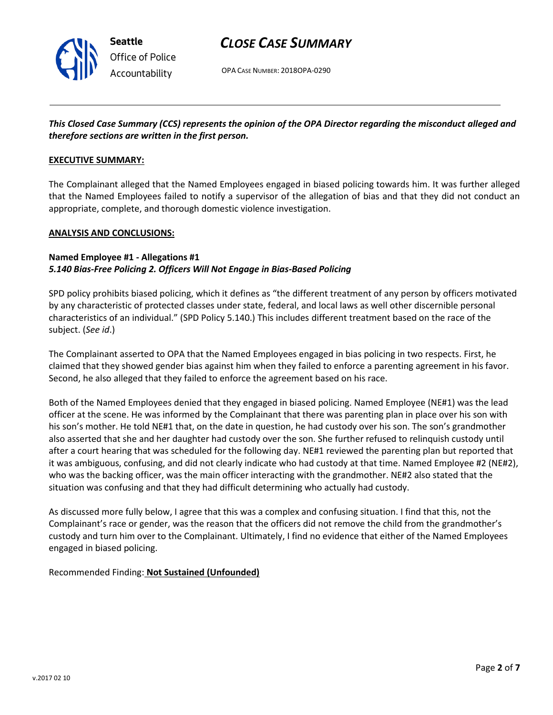

# *CLOSE CASE SUMMARY*

OPA CASE NUMBER: 2018OPA-0290

# *This Closed Case Summary (CCS) represents the opinion of the OPA Director regarding the misconduct alleged and therefore sections are written in the first person.*

### **EXECUTIVE SUMMARY:**

The Complainant alleged that the Named Employees engaged in biased policing towards him. It was further alleged that the Named Employees failed to notify a supervisor of the allegation of bias and that they did not conduct an appropriate, complete, and thorough domestic violence investigation.

#### **ANALYSIS AND CONCLUSIONS:**

### **Named Employee #1 - Allegations #1** *5.140 Bias-Free Policing 2. Officers Will Not Engage in Bias-Based Policing*

SPD policy prohibits biased policing, which it defines as "the different treatment of any person by officers motivated by any characteristic of protected classes under state, federal, and local laws as well other discernible personal characteristics of an individual." (SPD Policy 5.140.) This includes different treatment based on the race of the subject. (*See id*.)

The Complainant asserted to OPA that the Named Employees engaged in bias policing in two respects. First, he claimed that they showed gender bias against him when they failed to enforce a parenting agreement in his favor. Second, he also alleged that they failed to enforce the agreement based on his race.

Both of the Named Employees denied that they engaged in biased policing. Named Employee (NE#1) was the lead officer at the scene. He was informed by the Complainant that there was parenting plan in place over his son with his son's mother. He told NE#1 that, on the date in question, he had custody over his son. The son's grandmother also asserted that she and her daughter had custody over the son. She further refused to relinquish custody until after a court hearing that was scheduled for the following day. NE#1 reviewed the parenting plan but reported that it was ambiguous, confusing, and did not clearly indicate who had custody at that time. Named Employee #2 (NE#2), who was the backing officer, was the main officer interacting with the grandmother. NE#2 also stated that the situation was confusing and that they had difficult determining who actually had custody.

As discussed more fully below, I agree that this was a complex and confusing situation. I find that this, not the Complainant's race or gender, was the reason that the officers did not remove the child from the grandmother's custody and turn him over to the Complainant. Ultimately, I find no evidence that either of the Named Employees engaged in biased policing.

Recommended Finding: **Not Sustained (Unfounded)**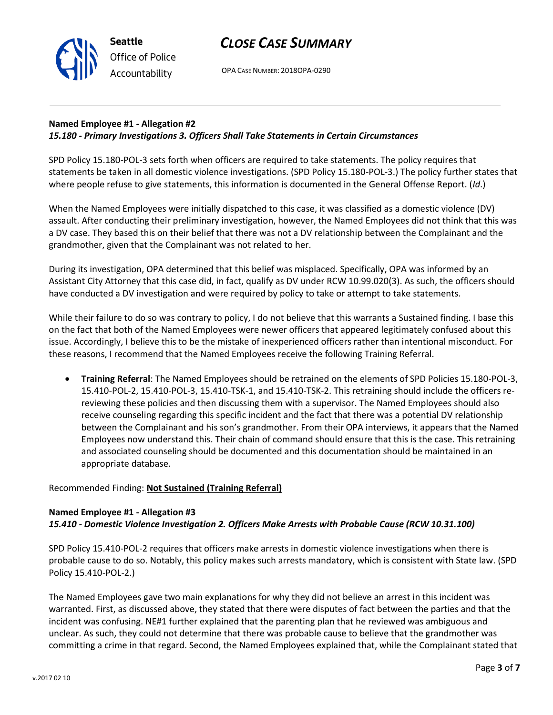

**Seattle**

*Office of Police Accountability*

# **Named Employee #1 - Allegation #2** *15.180 - Primary Investigations 3. Officers Shall Take Statements in Certain Circumstances*

SPD Policy 15.180-POL-3 sets forth when officers are required to take statements. The policy requires that statements be taken in all domestic violence investigations. (SPD Policy 15.180-POL-3.) The policy further states that where people refuse to give statements, this information is documented in the General Offense Report. (*Id*.)

When the Named Employees were initially dispatched to this case, it was classified as a domestic violence (DV) assault. After conducting their preliminary investigation, however, the Named Employees did not think that this was a DV case. They based this on their belief that there was not a DV relationship between the Complainant and the grandmother, given that the Complainant was not related to her.

During its investigation, OPA determined that this belief was misplaced. Specifically, OPA was informed by an Assistant City Attorney that this case did, in fact, qualify as DV under RCW 10.99.020(3). As such, the officers should have conducted a DV investigation and were required by policy to take or attempt to take statements.

While their failure to do so was contrary to policy, I do not believe that this warrants a Sustained finding. I base this on the fact that both of the Named Employees were newer officers that appeared legitimately confused about this issue. Accordingly, I believe this to be the mistake of inexperienced officers rather than intentional misconduct. For these reasons, I recommend that the Named Employees receive the following Training Referral.

 **Training Referral**: The Named Employees should be retrained on the elements of SPD Policies 15.180-POL-3, 15.410-POL-2, 15.410-POL-3, 15.410-TSK-1, and 15.410-TSK-2. This retraining should include the officers rereviewing these policies and then discussing them with a supervisor. The Named Employees should also receive counseling regarding this specific incident and the fact that there was a potential DV relationship between the Complainant and his son's grandmother. From their OPA interviews, it appears that the Named Employees now understand this. Their chain of command should ensure that this is the case. This retraining and associated counseling should be documented and this documentation should be maintained in an appropriate database.

# Recommended Finding: **Not Sustained (Training Referral)**

# **Named Employee #1 - Allegation #3** *15.410 - Domestic Violence Investigation 2. Officers Make Arrests with Probable Cause (RCW 10.31.100)*

SPD Policy 15.410-POL-2 requires that officers make arrests in domestic violence investigations when there is probable cause to do so. Notably, this policy makes such arrests mandatory, which is consistent with State law. (SPD Policy 15.410-POL-2.)

The Named Employees gave two main explanations for why they did not believe an arrest in this incident was warranted. First, as discussed above, they stated that there were disputes of fact between the parties and that the incident was confusing. NE#1 further explained that the parenting plan that he reviewed was ambiguous and unclear. As such, they could not determine that there was probable cause to believe that the grandmother was committing a crime in that regard. Second, the Named Employees explained that, while the Complainant stated that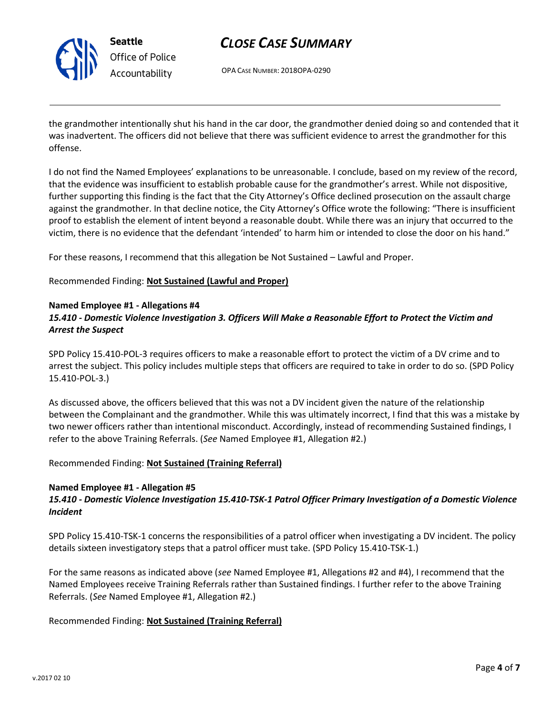

**Seattle** *Office of Police Accountability*

# *CLOSE CASE SUMMARY*

OPA CASE NUMBER: 2018OPA-0290

the grandmother intentionally shut his hand in the car door, the grandmother denied doing so and contended that it was inadvertent. The officers did not believe that there was sufficient evidence to arrest the grandmother for this offense.

I do not find the Named Employees' explanations to be unreasonable. I conclude, based on my review of the record, that the evidence was insufficient to establish probable cause for the grandmother's arrest. While not dispositive, further supporting this finding is the fact that the City Attorney's Office declined prosecution on the assault charge against the grandmother. In that decline notice, the City Attorney's Office wrote the following: "There is insufficient proof to establish the element of intent beyond a reasonable doubt. While there was an injury that occurred to the victim, there is no evidence that the defendant 'intended' to harm him or intended to close the door on his hand."

For these reasons, I recommend that this allegation be Not Sustained – Lawful and Proper.

Recommended Finding: **Not Sustained (Lawful and Proper)**

# **Named Employee #1 - Allegations #4**

# *15.410 - Domestic Violence Investigation 3. Officers Will Make a Reasonable Effort to Protect the Victim and Arrest the Suspect*

SPD Policy 15.410-POL-3 requires officers to make a reasonable effort to protect the victim of a DV crime and to arrest the subject. This policy includes multiple steps that officers are required to take in order to do so. (SPD Policy 15.410-POL-3.)

As discussed above, the officers believed that this was not a DV incident given the nature of the relationship between the Complainant and the grandmother. While this was ultimately incorrect, I find that this was a mistake by two newer officers rather than intentional misconduct. Accordingly, instead of recommending Sustained findings, I refer to the above Training Referrals. (*See* Named Employee #1, Allegation #2.)

Recommended Finding: **Not Sustained (Training Referral)**

# **Named Employee #1 - Allegation #5**

# *15.410 - Domestic Violence Investigation 15.410-TSK-1 Patrol Officer Primary Investigation of a Domestic Violence Incident*

SPD Policy 15.410-TSK-1 concerns the responsibilities of a patrol officer when investigating a DV incident. The policy details sixteen investigatory steps that a patrol officer must take. (SPD Policy 15.410-TSK-1.)

For the same reasons as indicated above (*see* Named Employee #1, Allegations #2 and #4), I recommend that the Named Employees receive Training Referrals rather than Sustained findings. I further refer to the above Training Referrals. (*See* Named Employee #1, Allegation #2.)

# Recommended Finding: **Not Sustained (Training Referral)**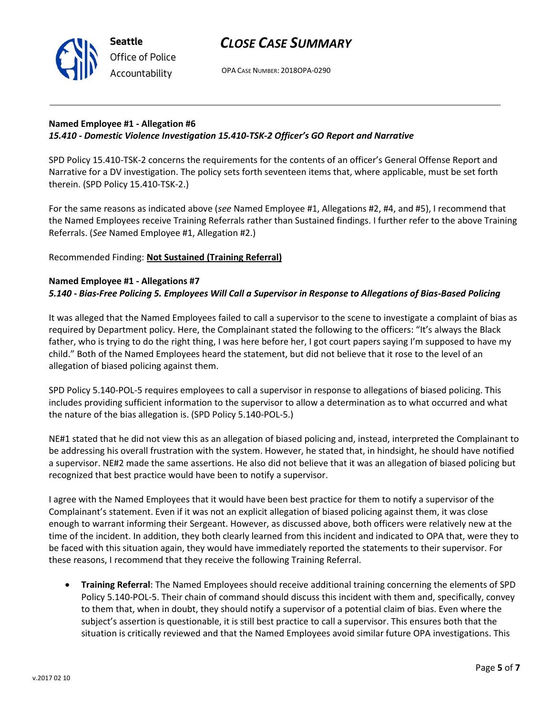



OPA CASE NUMBER: 2018OPA-0290

# **Named Employee #1 - Allegation #6**

# *15.410 - Domestic Violence Investigation 15.410-TSK-2 Officer's GO Report and Narrative*

SPD Policy 15.410-TSK-2 concerns the requirements for the contents of an officer's General Offense Report and Narrative for a DV investigation. The policy sets forth seventeen items that, where applicable, must be set forth therein. (SPD Policy 15.410-TSK-2.)

For the same reasons as indicated above (*see* Named Employee #1, Allegations #2, #4, and #5), I recommend that the Named Employees receive Training Referrals rather than Sustained findings. I further refer to the above Training Referrals. (*See* Named Employee #1, Allegation #2.)

# Recommended Finding: **Not Sustained (Training Referral)**

## **Named Employee #1 - Allegations #7** *5.140 - Bias-Free Policing 5. Employees Will Call a Supervisor in Response to Allegations of Bias-Based Policing*

It was alleged that the Named Employees failed to call a supervisor to the scene to investigate a complaint of bias as required by Department policy. Here, the Complainant stated the following to the officers: "It's always the Black father, who is trying to do the right thing, I was here before her, I got court papers saying I'm supposed to have my child." Both of the Named Employees heard the statement, but did not believe that it rose to the level of an allegation of biased policing against them.

SPD Policy 5.140-POL-5 requires employees to call a supervisor in response to allegations of biased policing. This includes providing sufficient information to the supervisor to allow a determination as to what occurred and what the nature of the bias allegation is. (SPD Policy 5.140-POL-5.)

NE#1 stated that he did not view this as an allegation of biased policing and, instead, interpreted the Complainant to be addressing his overall frustration with the system. However, he stated that, in hindsight, he should have notified a supervisor. NE#2 made the same assertions. He also did not believe that it was an allegation of biased policing but recognized that best practice would have been to notify a supervisor.

I agree with the Named Employees that it would have been best practice for them to notify a supervisor of the Complainant's statement. Even if it was not an explicit allegation of biased policing against them, it was close enough to warrant informing their Sergeant. However, as discussed above, both officers were relatively new at the time of the incident. In addition, they both clearly learned from this incident and indicated to OPA that, were they to be faced with this situation again, they would have immediately reported the statements to their supervisor. For these reasons, I recommend that they receive the following Training Referral.

 **Training Referral**: The Named Employees should receive additional training concerning the elements of SPD Policy 5.140-POL-5. Their chain of command should discuss this incident with them and, specifically, convey to them that, when in doubt, they should notify a supervisor of a potential claim of bias. Even where the subject's assertion is questionable, it is still best practice to call a supervisor. This ensures both that the situation is critically reviewed and that the Named Employees avoid similar future OPA investigations. This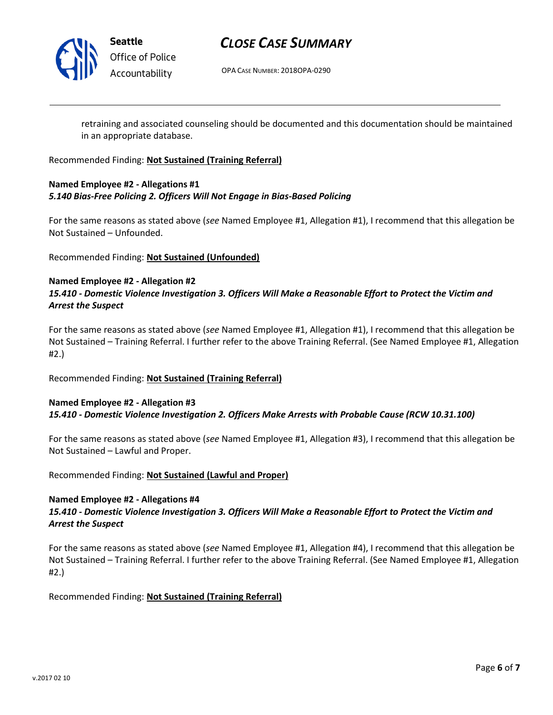

**Seattle** *Office of Police Accountability*

# *CLOSE CASE SUMMARY*

OPA CASE NUMBER: 2018OPA-0290

retraining and associated counseling should be documented and this documentation should be maintained in an appropriate database.

Recommended Finding: **Not Sustained (Training Referral)**

# **Named Employee #2 - Allegations #1** *5.140 Bias-Free Policing 2. Officers Will Not Engage in Bias-Based Policing*

For the same reasons as stated above (*see* Named Employee #1, Allegation #1), I recommend that this allegation be Not Sustained – Unfounded.

Recommended Finding: **Not Sustained (Unfounded)**

# **Named Employee #2 - Allegation #2**

# *15.410 - Domestic Violence Investigation 3. Officers Will Make a Reasonable Effort to Protect the Victim and Arrest the Suspect*

For the same reasons as stated above (*see* Named Employee #1, Allegation #1), I recommend that this allegation be Not Sustained – Training Referral. I further refer to the above Training Referral. (See Named Employee #1, Allegation #2.)

Recommended Finding: **Not Sustained (Training Referral)**

## **Named Employee #2 - Allegation #3** *15.410 - Domestic Violence Investigation 2. Officers Make Arrests with Probable Cause (RCW 10.31.100)*

For the same reasons as stated above (*see* Named Employee #1, Allegation #3), I recommend that this allegation be Not Sustained – Lawful and Proper.

Recommended Finding: **Not Sustained (Lawful and Proper)**

### **Named Employee #2 - Allegations #4**

# *15.410 - Domestic Violence Investigation 3. Officers Will Make a Reasonable Effort to Protect the Victim and Arrest the Suspect*

For the same reasons as stated above (*see* Named Employee #1, Allegation #4), I recommend that this allegation be Not Sustained – Training Referral. I further refer to the above Training Referral. (See Named Employee #1, Allegation #2.)

Recommended Finding: **Not Sustained (Training Referral)**